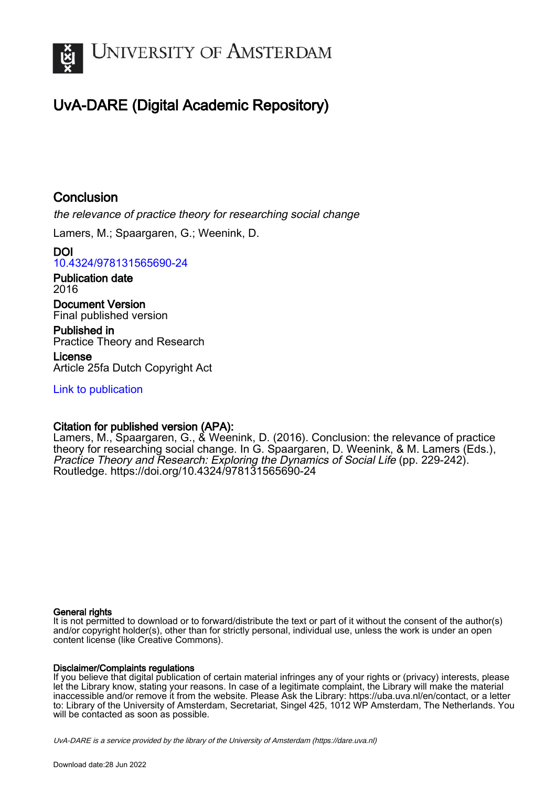

# UvA-DARE (Digital Academic Repository)

## **Conclusion**

the relevance of practice theory for researching social change

Lamers, M.; Spaargaren, G.; Weenink, D.

DOI [10.4324/978131565690-24](https://doi.org/10.4324/978131565690-24)

Publication date 2016

Document Version Final published version

Published in Practice Theory and Research

License Article 25fa Dutch Copyright Act

[Link to publication](https://dare.uva.nl/personal/pure/en/publications/conclusion(0f62b066-4179-4cf1-8fb4-5191271374ab).html)

## Citation for published version (APA):

Lamers, M., Spaargaren, G., & Weenink, D. (2016). Conclusion: the relevance of practice theory for researching social change. In G. Spaargaren, D. Weenink, & M. Lamers (Eds.), Practice Theory and Research: Exploring the Dynamics of Social Life (pp. 229-242). Routledge.<https://doi.org/10.4324/978131565690-24>

## General rights

It is not permitted to download or to forward/distribute the text or part of it without the consent of the author(s) and/or copyright holder(s), other than for strictly personal, individual use, unless the work is under an open content license (like Creative Commons).

## Disclaimer/Complaints regulations

If you believe that digital publication of certain material infringes any of your rights or (privacy) interests, please let the Library know, stating your reasons. In case of a legitimate complaint, the Library will make the material inaccessible and/or remove it from the website. Please Ask the Library: https://uba.uva.nl/en/contact, or a letter to: Library of the University of Amsterdam, Secretariat, Singel 425, 1012 WP Amsterdam, The Netherlands. You will be contacted as soon as possible.

UvA-DARE is a service provided by the library of the University of Amsterdam (http*s*://dare.uva.nl)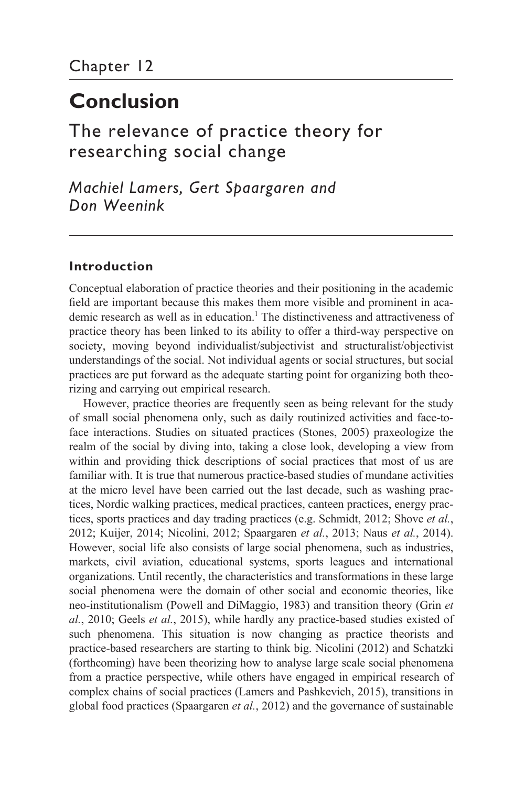# **Conclusion**

[The relevance of practice theory for](#page--1-0)  researching social change

*Machiel Lamers, Gert Spaargaren and Don Weenink*

## **Introduction**

Conceptual elaboration of practice theories and their positioning in the academic field are important because this makes them more visible and prominent in academic research as well as in education.<sup>1</sup> The distinctiveness and attractiveness of practice theory has been linked to its ability to offer a third- way perspective on society, moving beyond individualist/subjectivist and structuralist/objectivist understandings of the social. Not individual agents or social structures, but social practices are put forward as the adequate starting point for organizing both theorizing and carrying out empirical research.

 However, practice theories are frequently seen as being relevant for the study of small social phenomena only, such as daily routinized activities and face- toface interactions. Studies on situated practices (Stones, 2005) praxeologize the realm of the social by diving into, taking a close look, developing a view from within and providing thick descriptions of social practices that most of us are familiar with. It is true that numerous practice- based studies of mundane activities at the micro level have been carried out the last decade, such as washing practices, Nordic walking practices, medical practices, canteen practices, energy practices, sports practices and day trading practices (e.g. Schmidt, 2012; Shove *et al.*, 2012; Kuijer, 2014; Nicolini, 2012; Spaargaren *et al.*, 2013; Naus *et al.*, 2014). However, social life also consists of large social phenomena, such as industries, markets, civil aviation, educational systems, sports leagues and international organizations. Until recently, the characteristics and transformations in these large social phenomena were the domain of other social and economic theories, like neo- institutionalism (Powell and DiMaggio, 1983) and transition theory (Grin *et al.*, 2010; Geels *et al.*, 2015), while hardly any practice-based studies existed of such phenomena. This situation is now changing as practice theorists and practice- based researchers are starting to think big. Nicolini (2012) and Schatzki (forthcoming) have been theorizing how to analyse large scale social phenomena from a practice perspective, while others have engaged in empirical research of complex chains of social practices (Lamers and Pashkevich, 2015), transitions in global food practices (Spaargaren *et al.*, 2012) and the governance of sustainable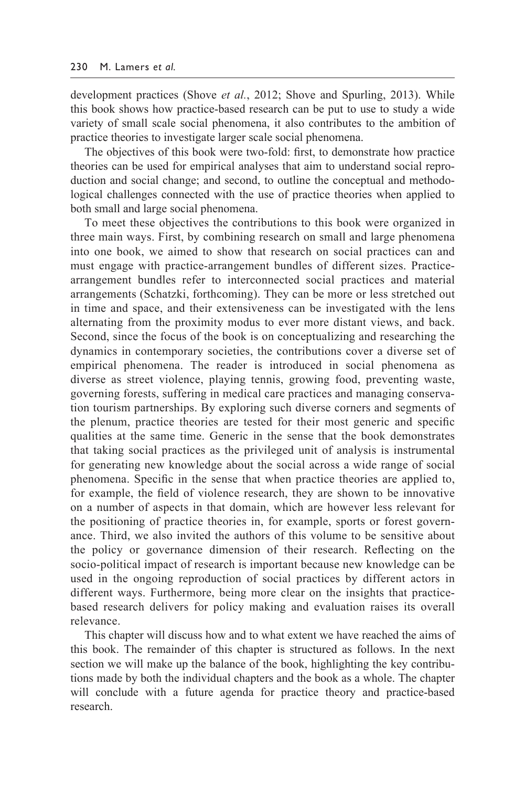development practices (Shove *et al.*, 2012; Shove and Spurling, 2013). While this book shows how practice- based research can be put to use to study a wide variety of small scale social phenomena, it also contributes to the ambition of practice theories to investigate larger scale social phenomena.

 The objectives of this book were two- fold: first, to demonstrate how practice theories can be used for empirical analyses that aim to understand social reproduction and social change; and second, to outline the conceptual and methodological challenges connected with the use of practice theories when applied to both small and large social phenomena.

 To meet these objectives the contributions to this book were organized in three main ways. First, by combining research on small and large phenomena into one book, we aimed to show that research on social practices can and must engage with practice-arrangement bundles of different sizes. Practicearrangement bundles refer to interconnected social practices and material arrangements (Schatzki, forthcoming). They can be more or less stretched out in time and space, and their extensiveness can be investigated with the lens alternating from the proximity modus to ever more distant views, and back. Second, since the focus of the book is on conceptualizing and researching the dynamics in contemporary societies, the contributions cover a diverse set of empirical phenomena. The reader is introduced in social phenomena as diverse as street violence, playing tennis, growing food, preventing waste, governing forests, suffering in medical care practices and managing conservation tourism partnerships. By exploring such diverse corners and segments of the plenum, practice theories are tested for their most generic and specific qualities at the same time. Generic in the sense that the book demonstrates that taking social practices as the privileged unit of analysis is instrumental for generating new knowledge about the social across a wide range of social phenomena. Specific in the sense that when practice theories are applied to, for example, the field of violence research, they are shown to be innovative on a number of aspects in that domain, which are however less relevant for the positioning of practice theories in, for example, sports or forest governance. Third, we also invited the authors of this volume to be sensitive about the policy or governance dimension of their research. Reflecting on the socio- political impact of research is important because new knowledge can be used in the ongoing reproduction of social practices by different actors in different ways. Furthermore, being more clear on the insights that practicebased research delivers for policy making and evaluation raises its overall relevance.

 This chapter will discuss how and to what extent we have reached the aims of this book. The remainder of this chapter is structured as follows. In the [next](#page--1-0)  [section w](#page--1-0)e will make up the balance of the book, highlighting the key contributions made by both the individual chapters and the book as a whole. The chapter will conclude with a future agenda for practice theory and practice-based research.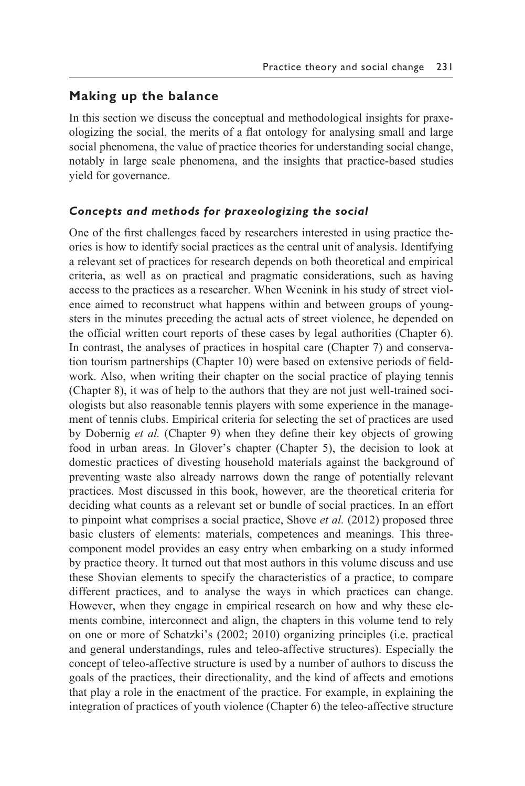## **Making up the balance**

In this section we discuss the conceptual and methodological insights for praxeologizing the social, the merits of a flat ontology for analysing small and large social phenomena, the value of practice theories for understanding social change, notably in large scale phenomena, and the insights that practice- based studies yield for governance.

#### *Concepts and methods for praxeologizing the social*

One of the first challenges faced by researchers interested in using practice theories is how to identify social practices as the central unit of analysis. Identifying a relevant set of practices for research depends on both theoretical and empirical criteria, as well as on practical and pragmatic considerations, such as having access to the practices as a researcher. When Weenink in his study of street violence aimed to reconstruct what happens within and between groups of youngsters in the minutes preceding the actual acts of street violence, he depended on the official written court reports of these cases by legal authorities [\(Chapter 6\).](#page--1-0)  In contrast, the analyses of practices in hospital care [\(Chapter 7\)](#page--1-0) and conservation tourism partnerships [\(Chapter 10\)](#page--1-0) were based on extensive periods of fieldwork. Also, when writing their chapter on the social practice of playing tennis [\(Chapter 8\)](#page--1-0), it was of help to the authors that they are not just well-trained sociologists but also reasonable tennis players with some experience in the management of tennis clubs. Empirical criteria for selecting the set of practices are used by Dobernig *et al.* [\(Chapter 9\)](#page--1-0) when they define their key objects of growing food in urban areas. In Glover's chapter [\(Chapter 5\)](#page--1-0), the decision to look at domestic practices of divesting household materials against the background of preventing waste also already narrows down the range of potentially relevant practices. Most discussed in this book, however, are the theoretical criteria for deciding what counts as a relevant set or bundle of social practices. In an effort to pinpoint what comprises a social practice, Shove *et al.* (2012) proposed three basic clusters of elements: materials, competences and meanings. This threecomponent model provides an easy entry when embarking on a study informed by practice theory. It turned out that most authors in this volume discuss and use these Shovian elements to specify the characteristics of a practice, to compare different practices, and to analyse the ways in which practices can change. However, when they engage in empirical research on how and why these elements combine, interconnect and align, the chapters in this volume tend to rely on one or more of Schatzki's (2002; 2010) organizing principles (i.e. practical and general understandings, rules and teleo- affective structures). Especially the concept of teleo- affective structure is used by a number of authors to discuss the goals of the practices, their directionality, and the kind of affects and emotions that play a role in the enactment of the practice. For example, in explaining the integration of practices of youth violence [\(Chapter 6\)](#page--1-0) the teleo- affective structure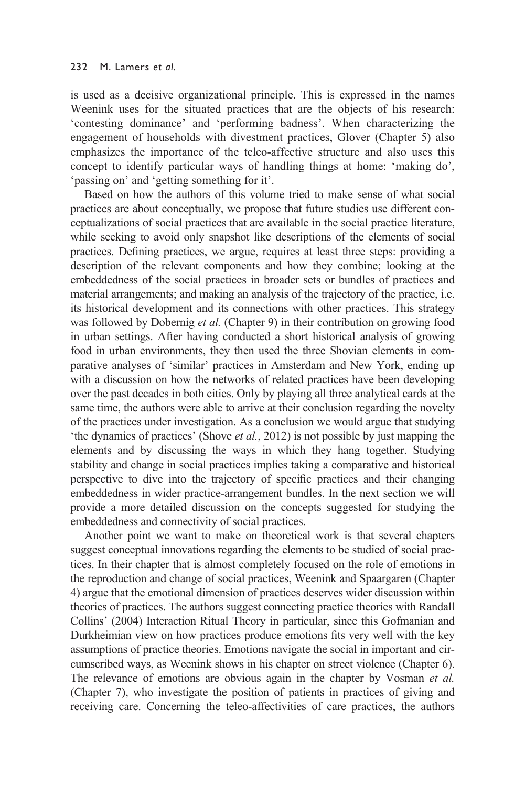is used as a decisive organizational principle. This is expressed in the names Weenink uses for the situated practices that are the objects of his research: 'contesting dominance' and 'performing badness'. When characterizing the engagement of households with divestment practices, Glover [\(Chapter 5\)](#page--1-0) also emphasizes the importance of the teleo-affective structure and also uses this concept to identify particular ways of handling things at home: 'making do', 'passing on' and 'getting something for it'.

 Based on how the authors of this volume tried to make sense of what social practices are about conceptually, we propose that future studies use different conceptualizations of social practices that are available in the social practice literature, while seeking to avoid only snapshot like descriptions of the elements of social practices. Defining practices, we argue, requires at least three steps: providing a description of the relevant components and how they combine; looking at the embeddedness of the social practices in broader sets or bundles of practices and material arrangements; and making an analysis of the trajectory of the practice, i.e. its historical development and its connections with other practices. This strategy was followed by Dobernig *et al.* [\(Chapter 9\)](#page--1-0) in their contribution on growing food in urban settings. After having conducted a short historical analysis of growing food in urban environments, they then used the three Shovian elements in comparative analyses of 'similar' practices in Amsterdam and New York, ending up with a discussion on how the networks of related practices have been developing over the past decades in both cities. Only by playing all three analytical cards at the same time, the authors were able to arrive at their conclusion regarding the novelty of the practices under investigation. As a conclusion we would argue that studying 'the dynamics of practices' (Shove *et al.*, 2012) is not possible by just mapping the elements and by discussing the ways in which they hang together. Studying stability and change in social practices implies taking a comparative and historical perspective to dive into the trajectory of specific practices and their changing embeddedness in wider practice- arrangement bundles. In the [next section](#page--1-0) we will provide a more detailed discussion on the concepts suggested for studying the embeddedness and connectivity of social practices.

 Another point we want to make on theoretical work is that several chapters suggest conceptual innovations regarding the elements to be studied of social practices. In their chapter that is almost completely focused on the role of emotions in the reproduction and change of social practices, Weenink and Spaargaren [\(Chapter](#page--1-0)  [4\)](#page--1-0) argue that the emotional dimension of practices deserves wider discussion within theories of practices. The authors suggest connecting practice theories with Randall Collins' (2004) Interaction Ritual Theory in particular, since this Gofmanian and Durkheimian view on how practices produce emotions fits very well with the key assumptions of practice theories. Emotions navigate the social in important and circumscribed ways, as Weenink shows in his chapter on street violence [\(Chapter 6\).](#page--1-0) The relevance of emotions are obvious again in the chapter by Vosman *et al.* [\(Chapter 7\),](#page--1-0) who investigate the position of patients in practices of giving and receiving care. Concerning the teleo- affectivities of care practices, the authors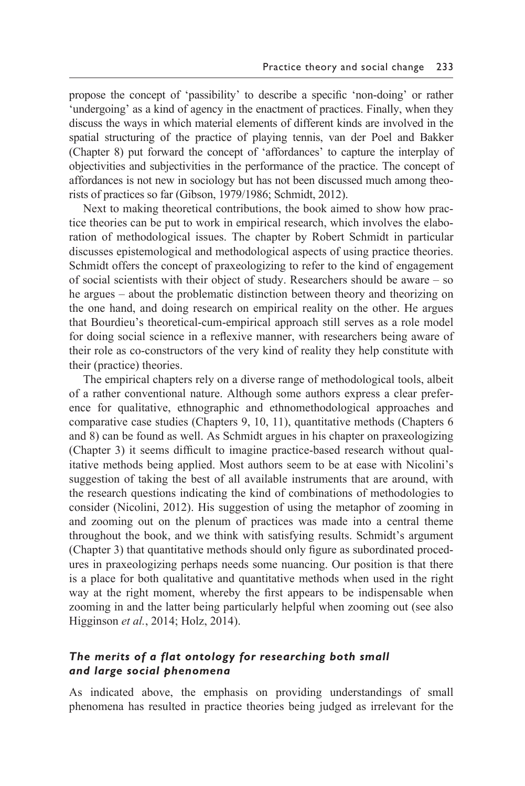propose the concept of 'passibility' to describe a specific 'non- doing' or rather 'undergoing' as a kind of agency in the enactment of practices. Finally, when they discuss the ways in which material elements of different kinds are involved in the spatial structuring of the practice of playing tennis, van der Poel and Bakker [\(Chapter 8\)](#page--1-0) put forward the concept of 'affordances' to capture the interplay of objectivities and subjectivities in the performance of the practice. The concept of affordances is not new in sociology but has not been discussed much among theorists of practices so far (Gibson, 1979/1986; Schmidt, 2012).

 Next to making theoretical contributions, the book aimed to show how practice theories can be put to work in empirical research, which involves the elaboration of methodological issues. The [chapter by Robert Schmidt](#page--1-0) in particular discusses epistemological and methodological aspects of using practice theories. Schmidt offers the concept of praxeologizing to refer to the kind of engagement of social scientists with their object of study. Researchers should be aware – so he argues – about the problematic distinction between theory and theorizing on the one hand, and doing research on empirical reality on the other. He argues that Bourdieu's theoretical- cum-empirical approach still serves as a role model for doing social science in a reflexive manner, with researchers being aware of their role as co-constructors of the very kind of reality they help constitute with their (practice) theories.

 The empirical chapters rely on a diverse range of methodological tools, albeit of a rather conventional nature. Although some authors express a clear preference for qualitative, ethnographic and ethnomethodological approaches and comparative case studies [\(Chapters 9](#page--1-0), [10, 11\)](#page--1-0), quantitative methods [\(Chapters 6](#page--1-0)  and [8\)](#page--1-0) can be found as well. As Schmidt argues in his chapter on praxeologizing [\(Chapter 3\)](#page--1-0) it seems difficult to imagine practice- based research without qualitative methods being applied. Most authors seem to be at ease with Nicolini's suggestion of taking the best of all available instruments that are around, with the research questions indicating the kind of combinations of methodologies to consider (Nicolini, 2012). His suggestion of using the metaphor of zooming in and zooming out on the plenum of practices was made into a central theme throughout the book, and we think with satisfying results. Schmidt's argument [\(Chapter 3\)](#page--1-0) that quantitative methods should only figure as subordinated procedures in praxeologizing perhaps needs some nuancing. Our position is that there is a place for both qualitative and quantitative methods when used in the right way at the right moment, whereby the first appears to be indispensable when zooming in and the latter being particularly helpful when zooming out (see also Higginson *et al.*, 2014; Holz, 2014).

### *The merits of a flat ontology for researching both small and large social phenomena*

As indicated above, the emphasis on providing understandings of small phenomena has resulted in practice theories being judged as irrelevant for the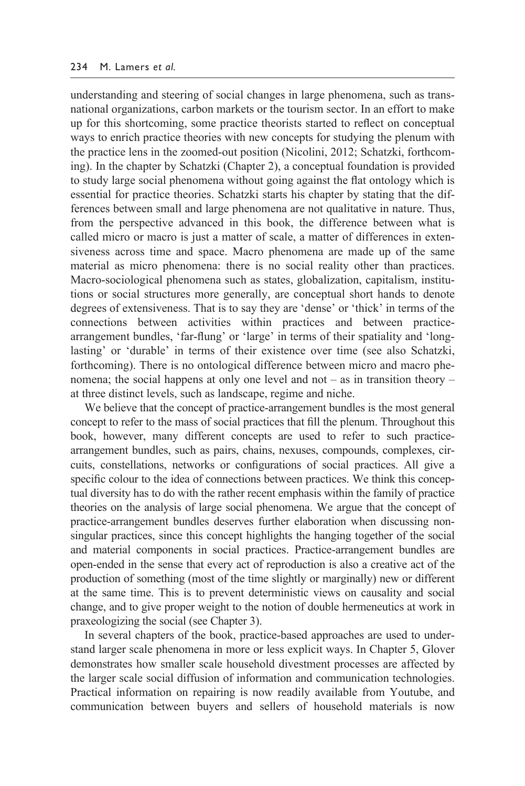#### 234 M. Lamers *et al.*

understanding and steering of social changes in large phenomena, such as transnational organizations, carbon markets or the tourism sector. In an effort to make up for this shortcoming, some practice theorists started to reflect on conceptual ways to enrich practice theories with new concepts for studying the plenum with the practice lens in the zoomed-out position (Nicolini, 2012; Schatzki, forthcoming). In the chapter by Schatzki [\(Chapter 2](#page--1-0)), a conceptual foundation is provided to study large social phenomena without going against the flat ontology which is essential for practice theories. Schatzki starts [his chapter](#page--1-0) by stating that the differences between small and large phenomena are not qualitative in nature. Thus, from the perspective advanced in this book, the difference between what is called micro or macro is just a matter of scale, a matter of differences in extensiveness across time and space. Macro phenomena are made up of the same material as micro phenomena: there is no social reality other than practices. Macro- sociological phenomena such as states, globalization, capitalism, institutions or social structures more generally, are conceptual short hands to denote degrees of extensiveness. That is to say they are 'dense' or 'thick' in terms of the connections between activities within practices and between practicearrangement bundles, 'far- flung' or 'large' in terms of their spatiality and 'longlasting' or 'durable' in terms of their existence over time (see also [Schatzki,](#page--1-0) forthcoming). There is no ontological difference between micro and macro phenomena; the social happens at only one level and not – as in transition theory – at three distinct levels, such as landscape, regime and niche.

We believe that the concept of practice-arrangement bundles is the most general concept to refer to the mass of social practices that fill the plenum. Throughout this book, however, many different concepts are used to refer to such practicearrangement bundles, such as pairs, chains, nexuses, compounds, complexes, circuits, constellations, networks or configurations of social practices. All give a specific colour to the idea of connections between practices. We think this conceptual diversity has to do with the rather recent emphasis within the family of practice theories on the analysis of large social phenomena. We argue that the concept of practice- arrangement bundles deserves further elaboration when discussing nonsingular practices, since this concept highlights the hanging together of the social and material components in social practices. Practice- arrangement bundles are open- ended in the sense that every act of reproduction is also a creative act of the production of something (most of the time slightly or marginally) new or different at the same time. This is to prevent deterministic views on causality and social change, and to give proper weight to the notion of double hermeneutics at work in praxeologizing the social (see [Chapter 3\).](#page--1-0)

In several chapters of the book, practice-based approaches are used to understand larger scale phenomena in more or less explicit ways. In [Chapter 5, G](#page--1-0)lover demonstrates how smaller scale household divestment processes are affected by the larger scale social diffusion of information and communication technologies. Practical information on repairing is now readily available from Youtube, and communication between buyers and sellers of household materials is now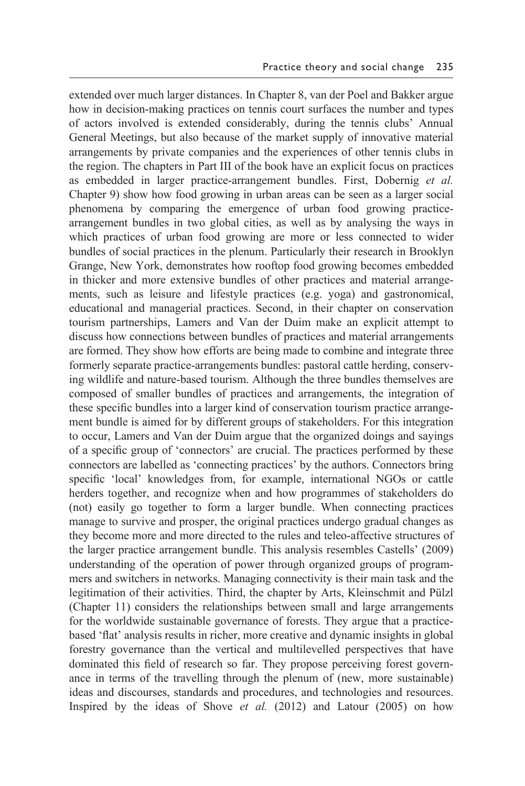extended over much larger distances. In [Chapter 8,](#page--1-0) van der Poel and Bakker argue how in decision-making practices on tennis court surfaces the number and types of actors involved is extended considerably, during the tennis clubs' Annual General Meetings, but also because of the market supply of innovative material arrangements by private companies and the experiences of other tennis clubs in the region. The chapters in [Part III](#page--1-0) of the book have an explicit focus on practices as embedded in larger practice- arrangement bundles. First, Dobernig *et al.* [Chapter 9\)](#page--1-0) show how food growing in urban areas can be seen as a larger social phenomena by comparing the emergence of urban food growing practicearrangement bundles in two global cities, as well as by analysing the ways in which practices of urban food growing are more or less connected to wider bundles of social practices in the plenum. Particularly their research in Brooklyn Grange, New York, demonstrates how rooftop food growing becomes embedded in thicker and more extensive bundles of other practices and material arrangements, such as leisure and lifestyle practices (e.g. yoga) and gastronomical, educational and managerial practices. Second, in their chapter on conservation tourism partnerships, Lamers and Van der Duim make an explicit attempt to discuss how connections between bundles of practices and material arrangements are formed. They show how efforts are being made to combine and integrate three formerly separate practice- arrangements bundles: pastoral cattle herding, conserving wildlife and nature- based tourism. Although the three bundles themselves are composed of smaller bundles of practices and arrangements, the integration of these specific bundles into a larger kind of conservation tourism practice arrangement bundle is aimed for by different groups of stakeholders. For this integration to occur, Lamers and Van der Duim argue that the organized doings and sayings of a specific group of 'connectors' are crucial. The practices performed by these connectors are labelled as 'connecting practices' by the authors. Connectors bring specific 'local' knowledges from, for example, international NGOs or cattle herders together, and recognize when and how programmes of stakeholders do (not) easily go together to form a larger bundle. When connecting practices manage to survive and prosper, the original practices undergo gradual changes as they become more and more directed to the rules and teleo-affective structures of the larger practice arrangement bundle. This analysis resembles Castells' (2009) understanding of the operation of power through organized groups of programmers and switchers in networks. Managing connectivity is their main task and the legitimation of their activities. Third, the chapter by Arts, Kleinschmit and Pülzl [\(Chapter 11\)](#page--1-0) considers the relationships between small and large arrangements for the worldwide sustainable governance of forests. They argue that a practicebased 'flat' analysis results in richer, more creative and dynamic insights in global forestry governance than the vertical and multilevelled perspectives that have dominated this field of research so far. They propose perceiving forest governance in terms of the travelling through the plenum of (new, more sustainable) ideas and discourses, standards and procedures, and technologies and resources. Inspired by the ideas of Shove *et al.* (2012) and Latour (2005) on how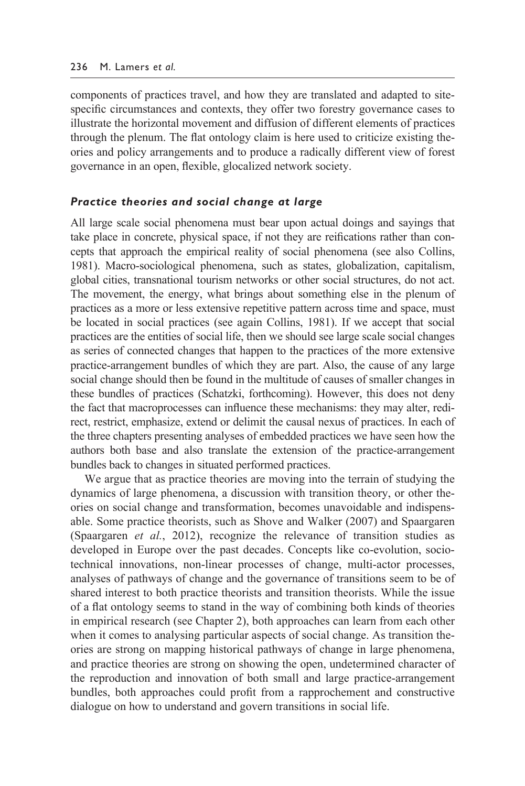components of practices travel, and how they are translated and adapted to sitespecific circumstances and contexts, they offer two forestry governance cases to illustrate the horizontal movement and diffusion of different elements of practices through the plenum. The flat ontology claim is here used to criticize existing theories and policy arrangements and to produce a radically different view of forest governance in an open, flexible, glocalized network society.

#### *Practice theories and social change at large*

All large scale social phenomena must bear upon actual doings and sayings that take place in concrete, physical space, if not they are reifications rather than concepts that approach the empirical reality of social phenomena (see also Collins, 1981). Macro- sociological phenomena, such as states, globalization, capitalism, global cities, transnational tourism networks or other social structures, do not act. The movement, the energy, what brings about something else in the plenum of practices as a more or less extensive repetitive pattern across time and space, must be located in social practices (see again Collins, 1981). If we accept that social practices are the entities of social life, then we should see large scale social changes as series of connected changes that happen to the practices of the more extensive practice- arrangement bundles of which they are part. Also, the cause of any large social change should then be found in the multitude of causes of smaller changes in these bundles of practices (Schatzki, forthcoming). However, this does not deny the fact that macroprocesses can influence these mechanisms: they may alter, redirect, restrict, emphasize, extend or delimit the causal nexus of practices. In each of the three chapters presenting analyses of embedded practices we have seen how the authors both base and also translate the extension of the practice-arrangement bundles back to changes in situated performed practices.

 We argue that as practice theories are moving into the terrain of studying the dynamics of large phenomena, a discussion with transition theory, or other theories on social change and transformation, becomes unavoidable and indispensable. Some practice theorists, such as Shove and Walker (2007) and Spaargaren (Spaargaren *et al.*, 2012), recognize the relevance of transition studies as developed in Europe over the past decades. Concepts like co-evolution, sociotechnical innovations, non-linear processes of change, multi-actor processes, analyses of pathways of change and the governance of transitions seem to be of shared interest to both practice theorists and transition theorists. While the issue of a flat ontology seems to stand in the way of combining both kinds of theories in empirical research (see [Chapter 2\)](#page--1-0), both approaches can learn from each other when it comes to analysing particular aspects of social change. As transition theories are strong on mapping historical pathways of change in large phenomena, and practice theories are strong on showing the open, undetermined character of the reproduction and innovation of both small and large practice- arrangement bundles, both approaches could profit from a rapprochement and constructive dialogue on how to understand and govern transitions in social life.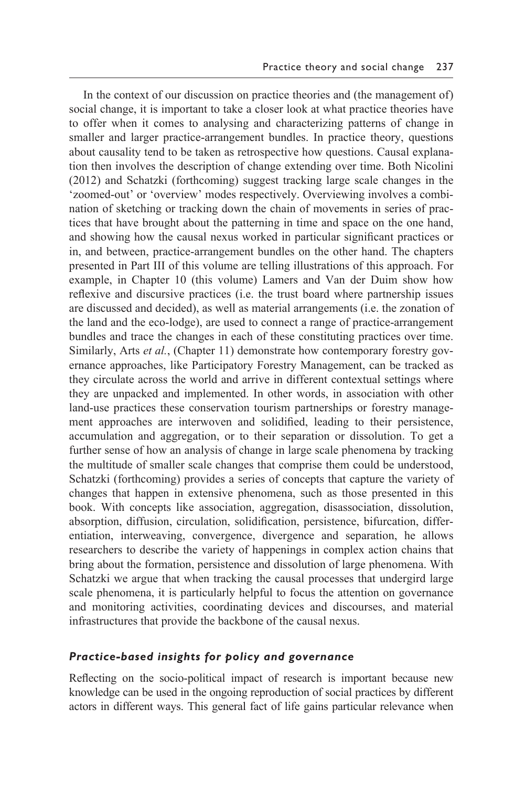In the context of our discussion on practice theories and (the management of) social change, it is important to take a closer look at what practice theories have to offer when it comes to analysing and characterizing patterns of change in smaller and larger practice-arrangement bundles. In practice theory, questions about causality tend to be taken as retrospective how questions. Causal explanation then involves the description of change extending over time. Both Nicolini (2012) and Schatzki (forthcoming) suggest tracking large scale changes in the 'zoomed- out' or 'overview' modes respectively. Overviewing involves a combination of sketching or tracking down the chain of movements in series of practices that have brought about the patterning in time and space on the one hand, and showing how the causal nexus worked in particular significant practices or in, and between, practice- arrangement bundles on the other hand. The chapters presented in [Part III](#page--1-0) of this volume are telling illustrations of this approach. For example, in [Chapter 10](#page--1-0) (this volume) Lamers and Van der Duim show how reflexive and discursive practices (i.e. the trust board where partnership issues are discussed and decided), as well as material arrangements (i.e. the zonation of the land and the eco-lodge), are used to connect a range of practice-arrangement bundles and trace the changes in each of these constituting practices over time. Similarly, Arts *et al.*, [\(Chapter 11\)](#page--1-0) demonstrate how contemporary forestry governance approaches, like Participatory Forestry Management, can be tracked as they circulate across the world and arrive in different contextual settings where they are unpacked and implemented. In other words, in association with other land-use practices these conservation tourism partnerships or forestry management approaches are interwoven and solidified, leading to their persistence, accumulation and aggregation, or to their separation or dissolution. To get a further sense of how an analysis of change in large scale phenomena by tracking the multitude of smaller scale changes that comprise them could be understood, Schatzki (forthcoming) provides a series of concepts that capture the variety of changes that happen in extensive phenomena, such as those presented in this book. With concepts like association, aggregation, disassociation, dissolution, absorption, diffusion, circulation, solidification, persistence, bifurcation, differentiation, interweaving, convergence, divergence and separation, he allows researchers to describe the variety of happenings in complex action chains that bring about the formation, persistence and dissolution of large phenomena. With Schatzki we argue that when tracking the causal processes that undergird large scale phenomena, it is particularly helpful to focus the attention on governance and monitoring activities, coordinating devices and discourses, and material infrastructures that provide the backbone of the causal nexus.

#### *Practice- based insights for policy and governance*

Reflecting on the socio-political impact of research is important because new knowledge can be used in the ongoing reproduction of social practices by different actors in different ways. This general fact of life gains particular relevance when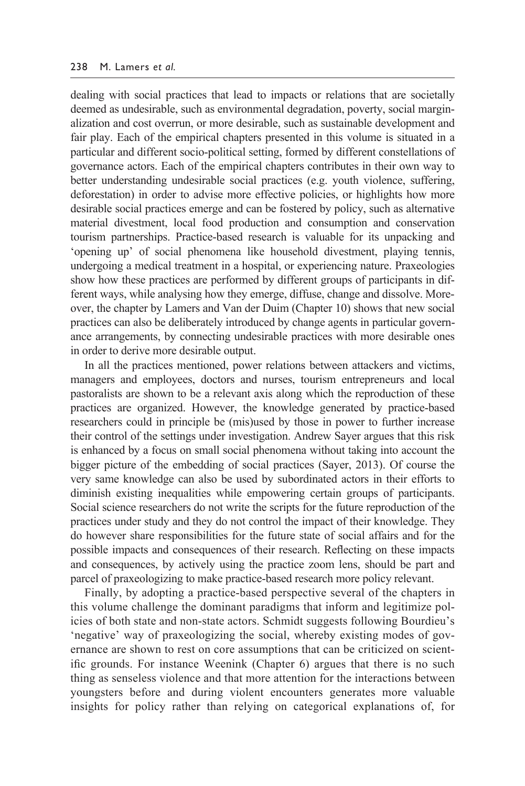dealing with social practices that lead to impacts or relations that are societally deemed as undesirable, such as environmental degradation, poverty, social marginalization and cost overrun, or more desirable, such as sustainable development and fair play. Each of the empirical chapters presented in this volume is situated in a particular and different socio- political setting, formed by different constellations of governance actors. Each of the empirical chapters contributes in their own way to better understanding undesirable social practices (e.g. youth violence, suffering, deforestation) in order to advise more effective policies, or highlights how more desirable social practices emerge and can be fostered by policy, such as alternative material divestment, local food production and consumption and conservation tourism partnerships. Practice- based research is valuable for its unpacking and 'opening up' of social phenomena like household divestment, playing tennis, undergoing a medical treatment in a hospital, or experiencing nature. Praxeologies show how these practices are performed by different groups of participants in different ways, while analysing how they emerge, diffuse, change and dissolve. Moreover, the chapter by Lamers and Van der Duim [\(Chapter 10\)](#page--1-0) shows that new social practices can also be deliberately introduced by change agents in particular governance arrangements, by connecting undesirable practices with more desirable ones in order to derive more desirable output.

 In all the practices mentioned, power relations between attackers and victims, managers and employees, doctors and nurses, tourism entrepreneurs and local pastoralists are shown to be a relevant axis along which the reproduction of these practices are organized. However, the knowledge generated by practice-based researchers could in principle be (mis)used by those in power to further increase their control of the settings under investigation. Andrew Sayer argues that this risk is enhanced by a focus on small social phenomena without taking into account the bigger picture of the embedding of social practices (Sayer, 2013). Of course the very same knowledge can also be used by subordinated actors in their efforts to diminish existing inequalities while empowering certain groups of participants. Social science researchers do not write the scripts for the future reproduction of the practices under study and they do not control the impact of their knowledge. They do however share responsibilities for the future state of social affairs and for the possible impacts and consequences of their research. Reflecting on these impacts and consequences, by actively using the practice zoom lens, should be part and parcel of praxeologizing to make practice- based research more policy relevant.

 Finally, by adopting a practice- based perspective several of the chapters in this volume challenge the dominant paradigms that inform and legitimize policies of both state and non- state actors. Schmidt suggests following Bourdieu's 'negative' way of praxeologizing the social, whereby existing modes of governance are shown to rest on core assumptions that can be criticized on scientific grounds. For instance Weenink [\(Chapter 6\)](#page--1-0) argues that there is no such thing as senseless violence and that more attention for the interactions between youngsters before and during violent encounters generates more valuable insights for policy rather than relying on categorical explanations of, for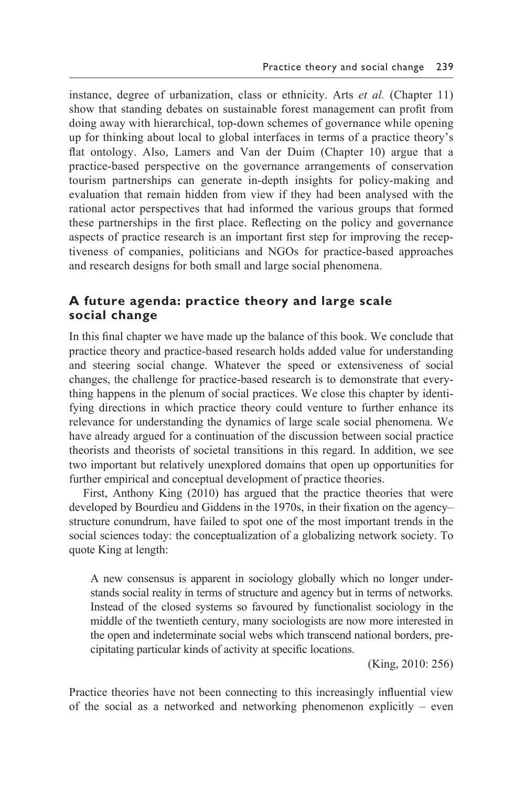instance, degree of urbanization, class or ethnicity. Arts *et al.* [\(Chapter 11\)](#page--1-0) show that standing debates on sustainable forest management can profit from doing away with hierarchical, top- down schemes of governance while opening up for thinking about local to global interfaces in terms of a practice theory's flat ontology. Also, Lamers and Van der Duim [\(Chapter 10\)](#page--1-0) argue that a practice- based perspective on the governance arrangements of conservation tourism partnerships can generate in- depth insights for policy- making and evaluation that remain hidden from view if they had been analysed with the rational actor perspectives that had informed the various groups that formed these partnerships in the first place. Reflecting on the policy and governance aspects of practice research is an important first step for improving the receptiveness of companies, politicians and NGOs for practice-based approaches and research designs for both small and large social phenomena.

## **A future agenda: practice theory and large scale social change**

In this [final chapter](#page--1-0) we have made up the balance of this book. We conclude that practice theory and practice- based research holds added value for understanding and steering social change. Whatever the speed or extensiveness of social changes, the challenge for practice- based research is to demonstrate that everything happens in the plenum of social practices. We close this chapter by identifying directions in which practice theory could venture to further enhance its relevance for understanding the dynamics of large scale social phenomena. We have already argued for a continuation of the discussion between social practice theorists and theorists of societal transitions in this regard. In addition, we see two important but relatively unexplored domains that open up opportunities for further empirical and conceptual development of practice theories.

 First, Anthony King (2010) has argued that the practice theories that were developed by Bourdieu and Giddens in the 1970s, in their fixation on the agency– structure conundrum, have failed to spot one of the most important trends in the social sciences today: the conceptualization of a globalizing network society. To quote King at length:

A new consensus is apparent in sociology globally which no longer understands social reality in terms of structure and agency but in terms of networks. Instead of the closed systems so favoured by functionalist sociology in the middle of the twentieth century, many sociologists are now more interested in the open and indeterminate social webs which transcend national borders, precipitating particular kinds of activity at specific locations.

(King, 2010: 256)

Practice theories have not been connecting to this increasingly influential view of the social as a networked and networking phenomenon explicitly – even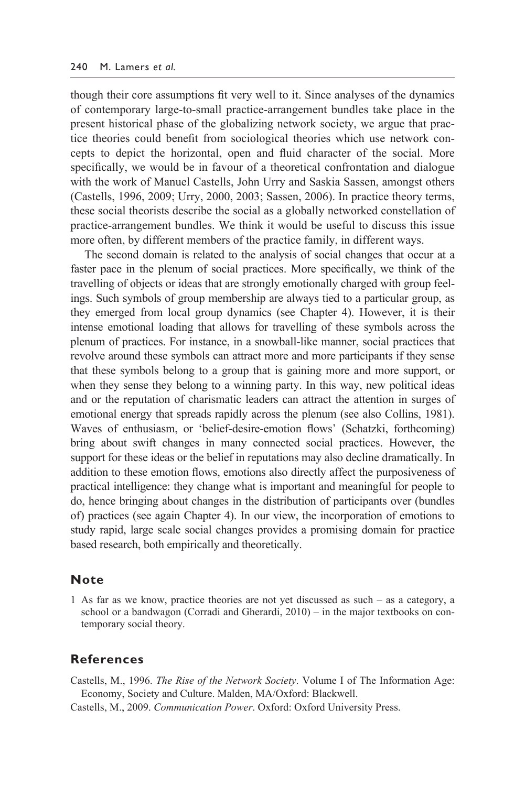though their core assumptions fit very well to it. Since analyses of the dynamics of contemporary large- to-small practice- arrangement bundles take place in the present historical phase of the globalizing network society, we argue that practice theories could benefit from sociological theories which use network concepts to depict the horizontal, open and fluid character of the social. More specifically, we would be in favour of a theoretical confrontation and dialogue with the work of Manuel Castells, John Urry and Saskia Sassen, amongst others (Castells, 1996, 2009; Urry, 2000, 2003; Sassen, 2006). In practice theory terms, these social theorists describe the social as a globally networked constellation of practice- arrangement bundles. We think it would be useful to discuss this issue more often, by different members of the practice family, in different ways.

 The second domain is related to the analysis of social changes that occur at a faster pace in the plenum of social practices. More specifically, we think of the travelling of objects or ideas that are strongly emotionally charged with group feelings. Such symbols of group membership are always tied to a particular group, as they emerged from local group dynamics (see [Chapter 4\).](#page--1-0) However, it is their intense emotional loading that allows for travelling of these symbols across the plenum of practices. For instance, in a snowball- like manner, social practices that revolve around these symbols can attract more and more participants if they sense that these symbols belong to a group that is gaining more and more support, or when they sense they belong to a winning party. In this way, new political ideas and or the reputation of charismatic leaders can attract the attention in surges of emotional energy that spreads rapidly across the plenum (see also Collins, 1981). Waves of enthusiasm, or 'belief-desire-emotion flows' (Schatzki, forthcoming) bring about swift changes in many connected social practices. However, the support for these ideas or the belief in reputations may also decline dramatically. In addition to these emotion flows, emotions also directly affect the purposiveness of practical intelligence: they change what is important and meaningful for people to do, hence bringing about changes in the distribution of participants over (bundles of) practices (see again [Chapter 4\).](#page--1-0) In our view, the incorporation of emotions to study rapid, large scale social changes provides a promising domain for practice based research, both empirically and theoretically.

#### **Note**

[1](#page--1-0) As far as we know, practice theories are not yet discussed as such – as a category, a school or a bandwagon (Corradi and Gherardi, 2010) – in the major textbooks on contemporary social theory.

#### **References**

- Castells, M., 1996. *The Rise of the Network Society*. Volume I of The Information Age: Economy, Society and Culture. Malden, MA/Oxford: Blackwell.
- Castells, M., 2009. *Communication Power*. Oxford: Oxford University Press.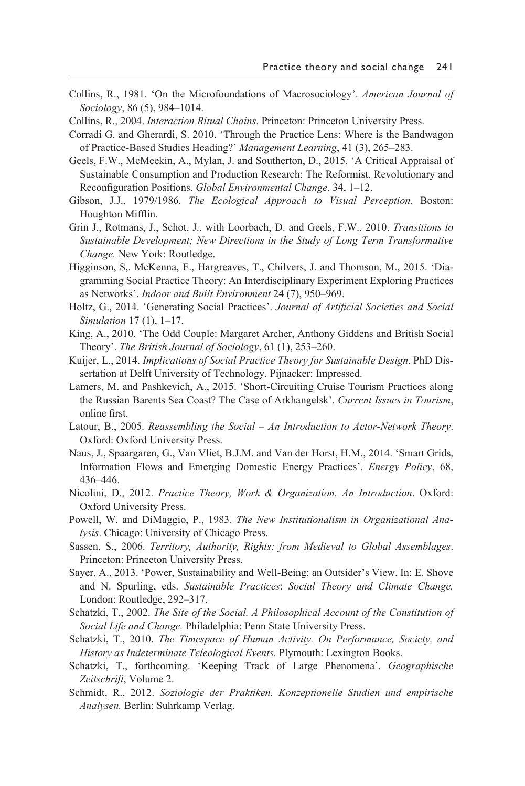- Collins, R., 1981. 'On the Microfoundations of Macrosociology'. *American Journal of Sociology*, 86 (5), 984–1014.
- Collins, R., 2004. *Interaction Ritual Chains*. Princeton: Princeton University Press.

Corradi G. and Gherardi, S. 2010. 'Through the Practice Lens: Where is the Bandwagon of Practice- Based Studies Heading?' *Management Learning*, 41 (3), 265–283.

- Geels, F.W., McMeekin, A., Mylan, J. and Southerton, D., 2015. 'A Critical Appraisal of Sustainable Consumption and Production Research: The Reformist, Revolutionary and Reconfiguration Positions. *Global Environmental Change*, 34, 1–12.
- Gibson, J.J., 1979/1986. *The Ecological Approach to Visual Perception*. Boston: Houghton Mifflin.
- Grin J., Rotmans, J., Schot, J., with Loorbach, D. and Geels, F.W., 2010. *Transitions to Sustainable Development; New Directions in the Study of Long Term Transformative Change.* New York: Routledge.
- Higginson, S,. McKenna, E., Hargreaves, T., Chilvers, J. and Thomson, M., 2015. 'Diagramming Social Practice Theory: An Interdisciplinary Experiment Exploring Practices as Networks'. *Indoor and Built Environment* 24 (7), 950–969.
- Holtz, G., 2014. 'Generating Social Practices'. *Journal of Artificial Societies and Social Simulation* 17 (1), 1–17.
- King, A., 2010. 'The Odd Couple: Margaret Archer, Anthony Giddens and British Social Theory'. *The British Journal of Sociology*, 61 (1), 253–260.
- Kuijer, L., 2014. *Implications of Social Practice Theory for Sustainable Design*. PhD Dissertation at Delft University of Technology. Pijnacker: Impressed.
- Lamers, M. and Pashkevich, A., 2015. 'Short- Circuiting Cruise Tourism Practices along the Russian Barents Sea Coast? The Case of Arkhangelsk'. *Current Issues in Tourism*, online first.
- Latour, B., 2005. *Reassembling the Social An Introduction to Actor- Network Theory*. Oxford: Oxford University Press.
- Naus, J., Spaargaren, G., Van Vliet, B.J.M. and Van der Horst, H.M., 2014. 'Smart Grids, Information Flows and Emerging Domestic Energy Practices'. *Energy Policy*, 68, 436–446.
- Nicolini, D., 2012. *Practice Theory, Work & Organization. An Introduction*. Oxford: Oxford University Press.
- Powell, W. and DiMaggio, P., 1983. *The New Institutionalism in Organizational Analysis*. Chicago: University of Chicago Press.
- Sassen, S., 2006. *Territory, Authority, Rights: from Medieval to Global Assemblages*. Princeton: Princeton University Press.
- Sayer, A., 2013. 'Power, Sustainability and Well- Being: an Outsider's View. In: E. Shove and N. Spurling, eds. *Sustainable Practices*: *Social Theory and Climate Change.* London: Routledge, 292–317.
- Schatzki, T., 2002. *The Site of the Social. A Philosophical Account of the Constitution of Social Life and Change.* Philadelphia: Penn State University Press.
- Schatzki, T., 2010. *The Timespace of Human Activity. On Performance, Society, and History as Indeterminate Teleological Events.* Plymouth: Lexington Books.
- Schatzki, T., forthcoming. 'Keeping Track of Large Phenomena'. *Geographische Zeitschrift*, Volume 2.
- Schmidt, R., 2012. *Soziologie der Praktiken. Konzeptionelle Studien und empirische Analysen.* Berlin: Suhrkamp Verlag.